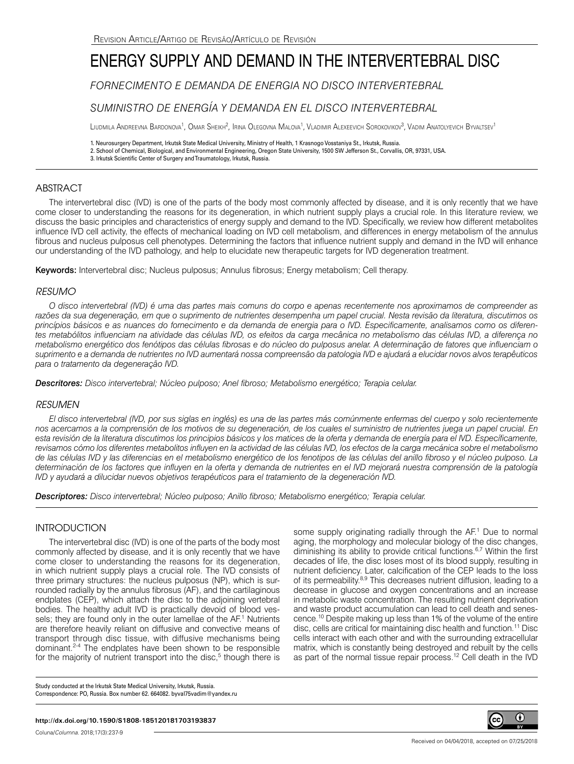# ENERGY SUPPLY AND DEMAND IN THE INTERVERTEBRAL DISC

*FORNECIMENTO E DEMANDA DE ENERGIA NO DISCO INTERVERTEBRAL*

## *SUMINISTRO DE ENERGÍA Y DEMANDA EN EL DISCO INTERVERTEBRAL*

Liudmila Andreevna Bardonova<sup>1</sup>, Omar Sheikh<sup>2</sup>, Irina Olegovna Malova<sup>1</sup>, Vladimir Alexeevich Sorokovikov<sup>3</sup>, Vadim Anatolyevich Byvaltsev<sup>1</sup>

1. Neurosurgery Department, Irkutsk State Medical University, Ministry of Health, 1 Krasnogo Vosstaniya St., Irkutsk, Russia. 2. School of Chemical, Biological, and Environmental Engineering, Oregon State University, 1500 SW Jefferson St., Corvallis, OR, 97331, USA.

3. Irkutsk Scientific Center of Surgery and Traumatology, Irkutsk, Russia.

## ABSTRACT

The intervertebral disc (IVD) is one of the parts of the body most commonly affected by disease, and it is only recently that we have come closer to understanding the reasons for its degeneration, in which nutrient supply plays a crucial role. In this literature review, we discuss the basic principles and characteristics of energy supply and demand to the IVD. Specifically, we review how different metabolites influence IVD cell activity, the effects of mechanical loading on IVD cell metabolism, and differences in energy metabolism of the annulus fibrous and nucleus pulposus cell phenotypes. Determining the factors that influence nutrient supply and demand in the IVD will enhance our understanding of the IVD pathology, and help to elucidate new therapeutic targets for IVD degeneration treatment.

Keywords: Intervertebral disc; Nucleus pulposus; Annulus fibrosus; Energy metabolism; Cell therapy.

## *RESUMO*

*O disco intervertebral (IVD) é uma das partes mais comuns do corpo e apenas recentemente nos aproximamos de compreender as*  razões da sua degeneração, em que o suprimento de nutrientes desempenha um papel crucial. Nesta revisão da literatura, discutimos os *princípios básicos e as nuances do fornecimento e da demanda de energia para o IVD. Especificamente, analisamos como os diferentes metabólitos influenciam na atividade das células IVD, os efeitos da carga mecânica no metabolismo das células IVD, a diferença no metabolismo energético dos fenótipos das células fibrosas e do núcleo do pulposus anelar. A determinação de fatores que influenciam o suprimento e a demanda de nutrientes no IVD aumentará nossa compreensão da patologia IVD e ajudará a elucidar novos alvos terapêuticos para o tratamento da degeneração IVD.* 

*Descritores: Disco intervertebral; Núcleo pulposo; Anel fibroso; Metabolismo energético; Terapia celular.*

## *RESUMEN*

*El disco intervertebral (IVD, por sus siglas en inglés) es una de las partes más comúnmente enfermas del cuerpo y solo recientemente nos acercamos a la comprensión de los motivos de su degeneración, de los cuales el suministro de nutrientes juega un papel crucial. En esta revisión de la literatura discutimos los principios básicos y los matices de la oferta y demanda de energía para el IVD. Específicamente, revisamos cómo los diferentes metabolitos influyen en la actividad de las células IVD, los efectos de la carga mecánica sobre el metabolismo de las células IVD y las diferencias en el metabolismo energético de los fenotipos de las células del anillo fibroso y el núcleo pulposo. La determinación de los factores que influyen en la oferta y demanda de nutrientes en el IVD mejorará nuestra comprensión de la patología IVD y ayudará a dilucidar nuevos objetivos terapéuticos para el tratamiento de la degeneración IVD.* 

*Descriptores: Disco intervertebral; Núcleo pulposo; Anillo fibroso; Metabolismo energético; Terapia celular.*

## **INTRODUCTION**

The intervertebral disc (IVD) is one of the parts of the body most commonly affected by disease, and it is only recently that we have come closer to understanding the reasons for its degeneration, in which nutrient supply plays a crucial role. The IVD consists of three primary structures: the nucleus pulposus (NP), which is surrounded radially by the annulus fibrosus (AF), and the cartilaginous endplates (CEP), which attach the disc to the adjoining vertebral bodies. The healthy adult IVD is practically devoid of blood vessels; they are found only in the outer lamellae of the AF.<sup>1</sup> Nutrients are therefore heavily reliant on diffusive and convective means of transport through disc tissue, with diffusive mechanisms being dominant.2-4 The endplates have been shown to be responsible for the majority of nutrient transport into the disc,<sup>5</sup> though there is

some supply originating radially through the AF.<sup>1</sup> Due to normal aging, the morphology and molecular biology of the disc changes, diminishing its ability to provide critical functions.6,7 Within the first decades of life, the disc loses most of its blood supply, resulting in nutrient deficiency. Later, calcification of the CEP leads to the loss of its permeability.8,9 This decreases nutrient diffusion, leading to a decrease in glucose and oxygen concentrations and an increase in metabolic waste concentration. The resulting nutrient deprivation and waste product accumulation can lead to cell death and senescence.10 Despite making up less than 1% of the volume of the entire disc, cells are critical for maintaining disc health and function.<sup>11</sup> Disc cells interact with each other and with the surrounding extracellular matrix, which is constantly being destroyed and rebuilt by the cells as part of the normal tissue repair process.<sup>12</sup> Cell death in the IVD

Study conducted at the Irkutsk State Medical University, Irkutsk, Russia. Correspondence: PO, Russia. Box number 62. 664082. byval75vadim@yandex.ru



Coluna/*Columna*. 2018;17(3):237-9

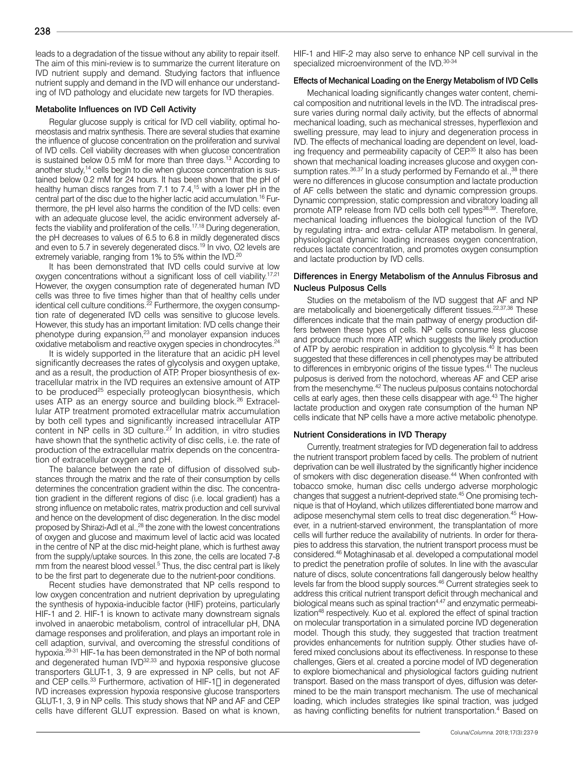238

The aim of this mini-review is to summarize the current literature on IVD nutrient supply and demand. Studying factors that influence nutrient supply and demand in the IVD will enhance our understanding of IVD pathology and elucidate new targets for IVD therapies.

#### Metabolite Influences on IVD Cell Activity

Regular glucose supply is critical for IVD cell viability, optimal homeostasis and matrix synthesis. There are several studies that examine the influence of glucose concentration on the proliferation and survival of IVD cells. Cell viability decreases with when glucose concentration is sustained below 0.5 mM for more than three days.13 According to another study,<sup>14</sup> cells begin to die when glucose concentration is sustained below 0.2 mM for 24 hours. It has been shown that the pH of healthy human discs ranges from 7.1 to 7.4,<sup>15</sup> with a lower pH in the central part of the disc due to the higher lactic acid accumulation.<sup>16</sup> Furthermore, the pH level also harms the condition of the IVD cells: even with an adequate glucose level, the acidic environment adversely affects the viability and proliferation of the cells.<sup>17,18</sup> During degeneration, the pH decreases to values of 6.5 to 6.8 in mildly degenerated discs and even to 5.7 in severely degenerated discs.<sup>19</sup> In vivo, O2 levels are extremely variable, ranging from 1% to 5% within the IVD.<sup>20</sup>

It has been demonstrated that IVD cells could survive at low oxygen concentrations without a significant loss of cell viability.<sup>17,21</sup> However, the oxygen consumption rate of degenerated human IVD cells was three to five times higher than that of healthy cells under identical cell culture conditions.22 Furthermore, the oxygen consumption rate of degenerated IVD cells was sensitive to glucose levels. However, this study has an important limitation: IVD cells change their phenotype during expansion,<sup>23</sup> and monolayer expansion induces oxidative metabolism and reactive oxygen species in chondrocytes.24

It is widely supported in the literature that an acidic pH level significantly decreases the rates of glycolysis and oxygen uptake, and as a result, the production of ATP. Proper biosynthesis of extracellular matrix in the IVD requires an extensive amount of ATP to be produced<sup>25</sup> especially proteoglycan biosynthesis, which uses ATP as an energy source and building block.<sup>26</sup> Extracellular ATP treatment promoted extracellular matrix accumulation by both cell types and significantly increased intracellular ATP content in NP cells in 3D culture.<sup>27</sup> In addition, in vitro studies have shown that the synthetic activity of disc cells, i.e. the rate of production of the extracellular matrix depends on the concentration of extracellular oxygen and pH.

The balance between the rate of diffusion of dissolved substances through the matrix and the rate of their consumption by cells determines the concentration gradient within the disc. The concentration gradient in the different regions of disc (i.e. local gradient) has a strong influence on metabolic rates, matrix production and cell survival and hence on the development of disc degeneration. In the disc model proposed by Shirazi-Adl et al.,<sup>28</sup> the zone with the lowest concentrations of oxygen and glucose and maximum level of lactic acid was located in the centre of NP at the disc mid-height plane, which is furthest away from the supply/uptake sources. In this zone, the cells are located 7-8 mm from the nearest blood vessel.<sup>5</sup> Thus, the disc central part is likely to be the first part to degenerate due to the nutrient-poor conditions.

Recent studies have demonstrated that NP cells respond to low oxygen concentration and nutrient deprivation by upregulating the synthesis of hypoxia-inducible factor (HIF) proteins, particularly HIF-1 and 2. HIF-1 is known to activate many downstream signals involved in anaerobic metabolism, control of intracellular pH, DNA damage responses and proliferation, and plays an important role in cell adaption, survival, and overcoming the stressful conditions of hypoxia.<sup>29-31</sup> HIF-1α has been demonstrated in the NP of both normal and degenerated human IVD<sup>32,33</sup> and hypoxia responsive glucose transporters GLUT-1, 3, 9 are expressed in NP cells, but not AF and CEP cells.<sup>33</sup> Furthermore, activation of HIF-1□ in degenerated IVD increases expression hypoxia responsive glucose transporters GLUT-1, 3, 9 in NP cells. This study shows that NP and AF and CEP cells have different GLUT expression. Based on what is known,

HIF-1 and HIF-2 may also serve to enhance NP cell survival in the specialized microenvironment of the IVD.<sup>30-34</sup>

#### Effects of Mechanical Loading on the Energy Metabolism of IVD Cells

Mechanical loading significantly changes water content, chemical composition and nutritional levels in the IVD. The intradiscal pressure varies during normal daily activity, but the effects of abnormal mechanical loading, such as mechanical stresses, hyperflexion and swelling pressure, may lead to injury and degeneration process in IVD. The effects of mechanical loading are dependent on level, loading frequency and permeability capacity of CEP.<sup>35</sup> It also has been shown that mechanical loading increases glucose and oxygen consumption rates.<sup>36,37</sup> In a study performed by Fernando et al.,<sup>38</sup> there were no differences in glucose consumption and lactate production of AF cells between the static and dynamic compression groups. Dynamic compression, static compression and vibratory loading all promote ATP release from IVD cells both cell types<sup>38,39</sup>. Therefore, mechanical loading influences the biological function of the IVD by regulating intra- and extra- cellular ATP metabolism. In general, physiological dynamic loading increases oxygen concentration, reduces lactate concentration, and promotes oxygen consumption and lactate production by IVD cells.

#### Differences in Energy Metabolism of the Annulus Fibrosus and Nucleus Pulposus Cells

Studies on the metabolism of the IVD suggest that AF and NP are metabolically and bioenergetically different tissues.<sup>22,37,38</sup> These differences indicate that the main pathway of energy production differs between these types of cells. NP cells consume less glucose and produce much more ATP, which suggests the likely production of ATP by aerobic respiration in addition to glycolysis.<sup>40</sup> It has been suggested that these differences in cell phenotypes may be attributed to differences in embryonic origins of the tissue types.<sup>41</sup> The nucleus pulposus is derived from the notochord, whereas AF and CEP arise from the mesenchyme.<sup>42</sup> The nucleus pulposus contains notochordal cells at early ages, then these cells disappear with age.<sup>43</sup> The higher lactate production and oxygen rate consumption of the human NP cells indicate that NP cells have a more active metabolic phenotype.

#### Nutrient Considerations in IVD Therapy

Currently, treatment strategies for IVD degeneration fail to address the nutrient transport problem faced by cells. The problem of nutrient deprivation can be well illustrated by the significantly higher incidence of smokers with disc degeneration disease.<sup>44</sup> When confronted with tobacco smoke, human disc cells undergo adverse morphologic changes that suggest a nutrient-deprived state.45 One promising technique is that of Hoyland, which utilizes differentiated bone marrow and adipose mesenchymal stem cells to treat disc degeneration.45 However, in a nutrient-starved environment, the transplantation of more cells will further reduce the availability of nutrients. In order for therapies to address this starvation, the nutrient transport process must be considered.46 Motaghinasab et al. developed a computational model to predict the penetration profile of solutes. In line with the avascular nature of discs, solute concentrations fall dangerously below healthy levels far from the blood supply sources.46 Current strategies seek to address this critical nutrient transport deficit through mechanical and biological means such as spinal traction<sup>4,47</sup> and enzymatic permeabilization<sup>48</sup> respectively. Kuo et al. explored the effect of spinal traction on molecular transportation in a simulated porcine IVD degeneration model. Though this study, they suggested that traction treatment provides enhancements for nutrition supply. Other studies have offered mixed conclusions about its effectiveness. In response to these challenges, Giers et al. created a porcine model of IVD degeneration to explore biomechanical and physiological factors guiding nutrient transport. Based on the mass transport of dyes, diffusion was determined to be the main transport mechanism. The use of mechanical loading, which includes strategies like spinal traction, was judged as having conflicting benefits for nutrient transportation.<sup>4</sup> Based on